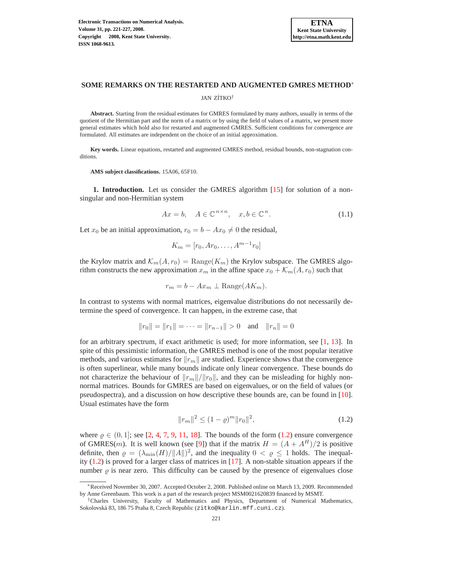

# **SOME REMARKS ON THE RESTARTED AND AUGMENTED GMRES METHOD**<sup>∗</sup>

JAN ZÍTKO<sup>†</sup>

**Abstract.** Starting from the residual estimates for GMRES formulated by many authors, usually in terms of the quotient of the Hermitian part and the norm of a matrix or by using the field of values of a matrix, we present more general estimates which hold also for restarted and augmented GMRES. Sufficient conditions for convergence are formulated. All estimates are independent on the choice of an initial approximation.

**Key words.** Linear equations, restarted and augmented GMRES method, residual bounds, non-stagnation conditions.

**AMS subject classifications.** 15A06, 65F10.

**1. Introduction.** Let us consider the GMRES algorithm [\[15\]](#page-6-0) for solution of a nonsingular and non-Hermitian system

$$
Ax = b, \quad A \in \mathbb{C}^{n \times n}, \quad x, b \in \mathbb{C}^n. \tag{1.1}
$$

<span id="page-0-1"></span>Let  $x_0$  be an initial approximation,  $r_0 = b - Ax_0 \neq 0$  the residual,

$$
K_m = [r_0, Ar_0, \dots, A^{m-1}r_0]
$$

the Krylov matrix and  $\mathcal{K}_m(A, r_0) = \text{Range}(K_m)$  the Krylov subspace. The GMRES algorithm constructs the new approximation  $x_m$  in the affine space  $x_0 + \mathcal{K}_m(A, r_0)$  such that

$$
r_m = b - Ax_m \perp \text{Range}(AK_m).
$$

In contrast to systems with normal matrices, eigenvalue distributions do not necessarily determine the speed of convergence. It can happen, in the extreme case, that

$$
||r_0|| = ||r_1|| = \cdots = ||r_{n-1}|| > 0
$$
 and  $||r_n|| = 0$ 

for an arbitrary spectrum, if exact arithmetic is used; for more information, see [\[1,](#page-6-1) [13\]](#page-6-2). In spite of this pessimistic information, the GMRES method is one of the most popular iterative methods, and various estimates for  $||r_m||$  are studied. Experience shows that the convergence is often superlinear, while many bounds indicate only linear convergence. These bounds do not characterize the behaviour of  $||r_m||/||r_0||$ , and they can be misleading for highly nonnormal matrices. Bounds for GMRES are based on eigenvalues, or on the field of values (or pseudospectra), and a discussion on how descriptive these bounds are, can be found in [\[10\]](#page-6-3). Usual estimates have the form

$$
||r_m||^2 \le (1 - \varrho)^m ||r_0||^2,\tag{1.2}
$$

<span id="page-0-0"></span>where  $\varrho \in (0,1]$ ; see [\[2,](#page-6-4) [4,](#page-6-5) [7,](#page-6-6) [9,](#page-6-7) [11,](#page-6-8) [18\]](#page-6-9). The bounds of the form [\(1.2\)](#page-0-0) ensure convergence of GMRES(*m*). It is well known (see [\[9\]](#page-6-7)) that if the matrix  $H = (A + A^H)/2$  is positive definite, then  $\varrho = (\lambda_{\min}(H)/||A||)^2$ , and the inequality  $0 < \varrho \le 1$  holds. The inequality [\(1.2\)](#page-0-0) is proved for a larger class of matrices in [\[17\]](#page-6-10). A non-stable situation appears if the number  $\rho$  is near zero. This difficulty can be caused by the presence of eigenvalues close

<sup>∗</sup>Received November 30, 2007. Accepted October 2, 2008. Published online on March 13, 2009. Recommended by Anne Greenbaum. This work is a part of the research project MSM0021620839 financed by MSMT.

<sup>†</sup>Charles University, Faculty of Mathematics and Physics, Department of Numerical Mathematics, Sokolovská 83, 186 75 Praha 8, Czech Republic (zitko@karlin.mff.cuni.cz).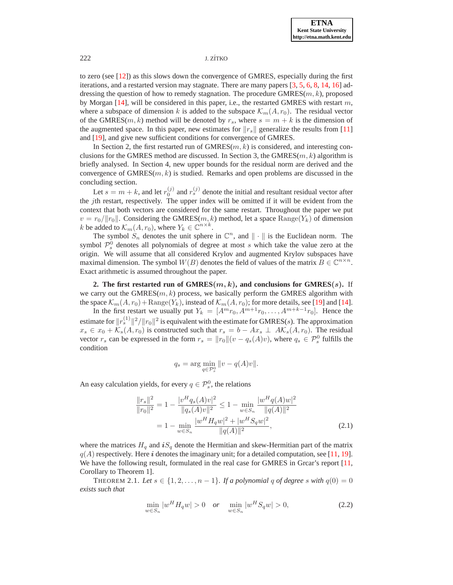# 222 J. ZÍTKO

to zero (see [\[12\]](#page-6-11)) as this slows down the convergence of GMRES, especially during the first iterations, and a restarted version may stagnate. There are many papers [\[3,](#page-6-12) [5,](#page-6-13) [6,](#page-6-14) [8,](#page-6-15) [14,](#page-6-16) [16\]](#page-6-17) addressing the question of how to remedy stagnation. The procedure  $GMRES(m, k)$ , proposed by Morgan  $[14]$ , will be considered in this paper, i.e., the restarted GMRES with restart m, where a subspace of dimension k is added to the subspace  $\mathcal{K}_m(A, r_0)$ . The residual vector of the GMRES( $m, k$ ) method will be denoted by  $r_s$ , where  $s = m + k$  is the dimension of the augmented space. In this paper, new estimates for  $||r_s||$  generalize the results from [\[11\]](#page-6-8) and [\[19\]](#page-6-18), and give new sufficient conditions for convergence of GMRES.

In Section 2, the first restarted run of  $GMRES(m, k)$  is considered, and interesting conclusions for the GMRES method are discussed. In Section 3, the GMRES $(m, k)$  algorithm is briefly analysed. In Section 4, new upper bounds for the residual norm are derived and the convergence of  $GMRES(m, k)$  is studied. Remarks and open problems are discussed in the concluding section.

Let  $s = m + k$ , and let  $r_0^{(j)}$  and  $r_s^{(j)}$  denote the initial and resultant residual vector after the jth restart, respectively. The upper index will be omitted if it will be evident from the context that both vectors are considered for the same restart. Throughout the paper we put  $v = r_0/||r_0||$ . Considering the GMRES(m, k) method, let a space Range(Y<sub>k</sub>) of dimension k be added to  $\mathcal{K}_m(A, r_0)$ , where  $Y_k \in \mathbb{C}^{n \times k}$ .

The symbol  $S_n$  denotes the unit sphere in  $\mathbb{C}^n$ , and  $\|\cdot\|$  is the Euclidean norm. The symbol  $\mathcal{P}_s^0$  denotes all polynomials of degree at most s which take the value zero at the origin. We will assume that all considered Krylov and augmented Krylov subspaces have maximal dimension. The symbol  $W(B)$  denotes the field of values of the matrix  $B \in \mathbb{C}^{n \times n}$ . Exact arithmetic is assumed throughout the paper.

**2.** The first restarted run of  $GMRES(m, k)$ , and conclusions for  $GMRES(s)$ . If we carry out the GMRES $(m, k)$  process, we basically perform the GMRES algorithm with the space  $\mathcal{K}_m(A, r_0)$  + Range(Y<sub>k</sub>), instead of  $\mathcal{K}_m(A, r_0)$ ; for more details, see [\[19\]](#page-6-18) and [\[14\]](#page-6-16).

In the first restart we usually put  $Y_k = [A^m r_0, A^{m+1} r_0, \dots, A^{m+k-1} r_0]$ . Hence the estimate for  $\|r^{(1)}_s\|^2/\|r_0\|^2$  is equivalent with the estimate for GMRES(s). The approximation  $x_s \in x_0 + \mathcal{K}_s(A, r_0)$  is constructed such that  $r_s = b - Ax_s \perp AK_s(A, r_0)$ . The residual vector  $r_s$  can be expressed in the form  $r_s = ||r_0||(v - q_s(A)v)$ , where  $q_s \in \mathcal{P}_s^0$  fulfills the condition

$$
q_s = \arg\min_{q \in \mathcal{P}_s^0} ||v - q(A)v||.
$$

<span id="page-1-1"></span>An easy calculation yields, for every  $q \in \mathcal{P}_s^0$ , the relations

$$
\frac{\|r_s\|^2}{\|r_0\|^2} = 1 - \frac{|v^H q_s(A)v|^2}{\|q_s(A)v\|^2} \le 1 - \min_{w \in S_n} \frac{|w^H q(A)w|^2}{\|q(A)\|^2}
$$

$$
= 1 - \min_{w \in S_n} \frac{|w^H H_q w|^2 + |w^H S_q w|^2}{\|q(A)\|^2}, \tag{2.1}
$$

where the matrices  $H_q$  and  $iS_q$  denote the Hermitian and skew-Hermitian part of the matrix  $q(A)$  respectively. Here i denotes the imaginary unit; for a detailed computation, see [\[11,](#page-6-8) [19\]](#page-6-18). We have the following result, formulated in the real case for GMRES in Grcar's report [\[11,](#page-6-8) Corollary to Theorem 1].

<span id="page-1-2"></span><span id="page-1-0"></span>THEOREM 2.1. Let  $s \in \{1, 2, \ldots, n-1\}$ . If a polynomial q of degree s with  $q(0) = 0$ *exists such that*

$$
\min_{w \in S_n} |w^H H_q w| > 0 \quad or \quad \min_{w \in S_n} |w^H S_q w| > 0,
$$
\n(2.2)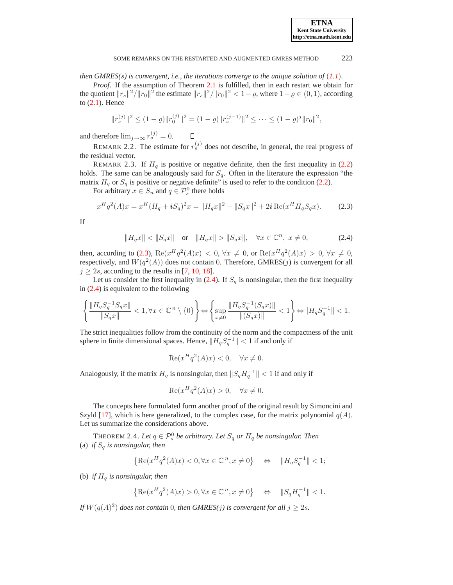### SOME REMARKS ON THE RESTARTED AND AUGMENTED GMRES METHOD 223

*then GMRES(*s*) is convergent, i.e., the iterations converge to the unique solution of* (*[1.1](#page-0-1)*)*.*

*Proof*. If the assumption of Theorem [2.1](#page-1-0) is fulfilled, then in each restart we obtain for the quotient  $||r_s||^2/||r_0||^2$  the estimate  $||r_s||^2/||r_0||^2 < 1-\varrho$ , where  $1-\varrho \in (0,1)$ , according to [\(2.1\)](#page-1-1). Hence

$$
||r_s^{(j)}||^2 \le (1-\varrho) ||r_0^{(j)}||^2 = (1-\varrho) ||r_s^{(j-1)}||^2 \le \cdots \le (1-\varrho)^j ||r_0||^2,
$$

and therefore  $\lim_{j\to\infty} r_s^{(j)} = 0$ .  $\Box$ 

REMARK 2.2. The estimate for  $r_s^{(j)}$  does not describe, in general, the real progress of the residual vector.

REMARK 2.3. If  $H<sub>q</sub>$  is positive or negative definite, then the first inequality in [\(2.2\)](#page-1-2) holds. The same can be analogously said for  $S_q$ . Often in the literature the expression "the matrix  $H_q$  or  $S_q$  is positive or negative definite" is used to refer to the condition [\(2.2\)](#page-1-2).

For arbitrary  $x \in S_n$  and  $q \in \mathcal{P}_s^0$  there holds

$$
x^{H}q^{2}(A)x = x^{H}(H_{q} + iS_{q})^{2}x = ||H_{q}x||^{2} - ||S_{q}x||^{2} + 2i \operatorname{Re}(x^{H} H_{q} S_{q} x). \tag{2.3}
$$

<span id="page-2-1"></span><span id="page-2-0"></span>If

$$
||H_q x|| < ||S_q x|| \quad \text{or} \quad ||H_q x|| > ||S_q x||, \quad \forall x \in \mathbb{C}^n, \ x \neq 0,
$$
 (2.4)

then, according to [\(2.3\)](#page-2-0),  $\text{Re}(x^H q^2(A)x) < 0$ ,  $\forall x \neq 0$ , or  $\text{Re}(x^H q^2(A)x) > 0$ ,  $\forall x \neq 0$ , respectively, and  $W(q^2(A))$  does not contain 0. Therefore, GMRES(j) is convergent for all  $j \ge 2s$ , according to the results in [\[7,](#page-6-6) [10,](#page-6-3) [18\]](#page-6-9).

Let us consider the first inequality in  $(2.4)$ . If  $S_q$  is nonsingular, then the first inequality in [\(2.4\)](#page-2-1) is equivalent to the following

$$
\left\{\frac{\|H_qS_q^{-1}S_qx\|}{\|S_qx\|} < 1, \forall x \in \mathbb{C}^{\: n} \setminus \{0\} \right\} \Leftrightarrow \left\{\sup_{x \neq 0} \frac{\|H_qS_q^{-1}(S_qx)\|}{\|(S_qx)\|} < 1 \right\} \Leftrightarrow \|H_qS_q^{-1}\| < 1.
$$

The strict inequalities follow from the continuity of the norm and the compactness of the unit sphere in finite dimensional spaces. Hence,  $||H_qS_q^{-1}|| < 1$  if and only if

$$
\operatorname{Re}(x^H q^2(A)x) < 0, \quad \forall x \neq 0.
$$

Analogously, if the matrix  $H_q$  is nonsingular, then  $||S_q H_q^{-1}|| < 1$  if and only if

$$
\operatorname{Re}(x^H q^2(A)x) > 0, \quad \forall x \neq 0.
$$

The concepts here formulated form another proof of the original result by Simoncini and Szyld [\[17\]](#page-6-10), which is here generalized, to the complex case, for the matrix polynomial  $q(A)$ . Let us summarize the considerations above.

THEOREM 2.4. Let  $q \in \mathcal{P}_s^0$  be arbitrary. Let  $S_q$  or  $H_q$  be nonsingular. Then (a) *if*  $S_q$  *is nonsingular, then* 

$$
\left\{\operatorname{Re}(x^Hq^2(A)x)<0, \forall x\in\mathbb{C}^{\: n}, x\neq 0\right\} \quad \Leftrightarrow \quad \|H_qS_q^{-1}\|<1;
$$

(b) *if*  $H_q$  *is nonsingular, then* 

$$
\left\{\operatorname{Re}(x^Hq^2(A)x) > 0, \forall x \in \mathbb{C}^n, x \neq 0\right\} \quad \Leftrightarrow \quad \|S_q H_q^{-1}\| < 1.
$$

*If*  $W(q(A)^2)$  does not contain 0, then GMRES(j) is convergent for all  $j \ge 2s$ .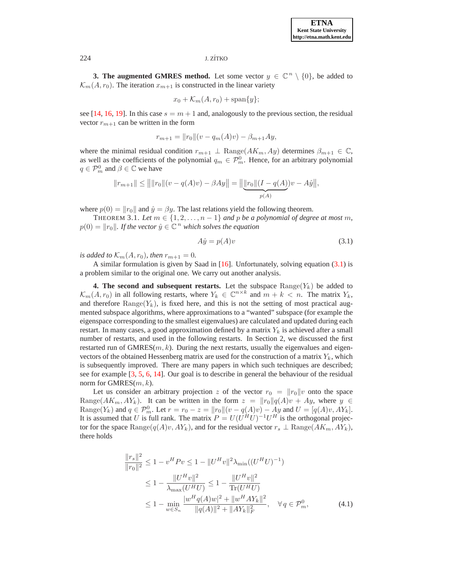### 224 J. ZÍTKO

**3. The augmented GMRES method.** Let some vector  $y \in \mathbb{C}^n \setminus \{0\}$ , be added to  $\mathcal{K}_m(A, r_0)$ . The iteration  $x_{m+1}$  is constructed in the linear variety

$$
x_0 + \mathcal{K}_m(A, r_0) + \text{span}\{y\};
$$

see [\[14,](#page-6-16) [16,](#page-6-17) [19\]](#page-6-18). In this case  $s = m + 1$  and, analogously to the previous section, the residual vector  $r_{m+1}$  can be written in the form

$$
r_{m+1} = ||r_0|| (v - q_m(A)v) - \beta_{m+1}Ay,
$$

where the minimal residual condition  $r_{m+1} \perp \text{Range}(AK_m, Ay)$  determines  $\beta_{m+1} \in \mathbb{C}$ , as well as the coefficients of the polynomial  $q_m \in \mathcal{P}_m^0$ . Hence, for an arbitrary polynomial  $q \in \mathcal{P}_m^0$  and  $\beta \in \mathbb{C}$  we have

$$
||r_{m+1}|| \le ||||r_0||(v - q(A)v) - \beta Ay|| = ||\underbrace{||r_0||(I - q(A))v - A\hat{y}||}_{p(A)}.
$$

where  $p(0) = ||r_0||$  and  $\hat{y} = \beta y$ . The last relations yield the following theorem.

THEOREM 3.1. Let  $m \in \{1, 2, \ldots, n-1\}$  and p be a polynomial of degree at most m,  $p(0) = ||r_0||$ . If the vector  $\hat{y} \in \mathbb{C}^n$  which solves the equation

<span id="page-3-0"></span>
$$
A\hat{y} = p(A)v \tag{3.1}
$$

*is added to*  $K_m(A, r_0)$ *, then*  $r_{m+1} = 0$ *.* 

A similar formulation is given by Saad in  $[16]$ . Unfortunately, solving equation  $(3.1)$  is a problem similar to the original one. We carry out another analysis.

**4. The second and subsequent restarts.** Let the subspace  $\text{Range}(Y_k)$  be added to  $\mathcal{K}_m(A, r_0)$  in all following restarts, where  $Y_k \in \mathbb{C}^{n \times k}$  and  $m + k < n$ . The matrix  $Y_k$ , and therefore  $\text{Range}(Y_k)$ , is fixed here, and this is not the setting of most practical augmented subspace algorithms, where approximations to a "wanted" subspace (for example the eigenspace corresponding to the smallest eigenvalues) are calculated and updated during each restart. In many cases, a good approximation defined by a matrix  $Y_k$  is achieved after a small number of restarts, and used in the following restarts. In Section 2, we discussed the first restarted run of GMRES $(m, k)$ . During the next restarts, usually the eigenvalues and eigenvectors of the obtained Hessenberg matrix are used for the construction of a matrix  $Y_k$ , which is subsequently improved. There are many papers in which such techniques are described; see for example [\[3,](#page-6-12) [5,](#page-6-13) [6,](#page-6-14) [14\]](#page-6-16). Our goal is to describe in general the behaviour of the residual norm for GMRES $(m, k)$ .

Let us consider an arbitrary projection z of the vector  $r_0 = ||r_0||v$  onto the space Range( $AK_m, AY_k$ ). It can be written in the form  $z = ||r_0||q(A)v + Ay$ , where  $y \in$ Range(Y<sub>k</sub>) and  $q \in \mathcal{P}_m^0$ . Let  $r = r_0 - z = ||r_0||(v - q(A)v) - Ay$  and  $U = [q(A)v, AY_k]$ . It is assumed that U is full rank. The matrix  $P = U(U^H U)^{-1} U^H$  is the orthogonal projector for the space Range( $q(A)v, AY_k$ ), and for the residual vector  $r_s \perp \text{Range}(AK_m, AY_k)$ , there holds

<span id="page-3-1"></span>
$$
\frac{\|r_s\|^2}{\|r_0\|^2} \le 1 - v^H P v \le 1 - \|U^H v\|^2 \lambda_{\min} ((U^H U)^{-1})
$$
  
\n
$$
\le 1 - \frac{\|U^H v\|^2}{\lambda_{\max}(U^H U)} \le 1 - \frac{\|U^H v\|^2}{\text{Tr}(U^H U)}
$$
  
\n
$$
\le 1 - \min_{w \in S_n} \frac{|w^H q(A) w|^2 + \|w^H A Y_k\|^2}{\|q(A)\|^2 + \|AY_k\|^2_{F}}, \quad \forall q \in \mathcal{P}_m^0,
$$
 (4.1)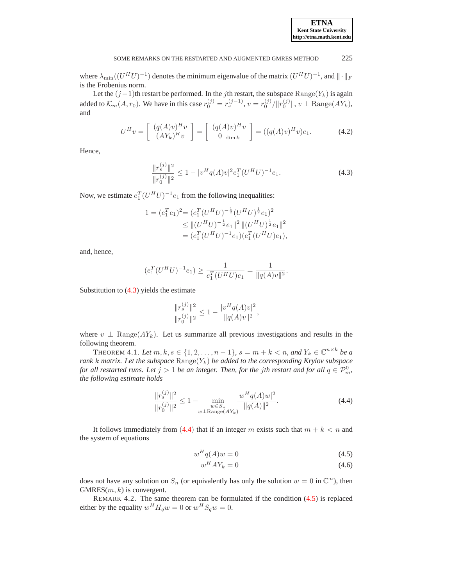where  $\lambda_{\min}((U^HU)^{-1})$  denotes the minimum eigenvalue of the matrix  $(U^HU)^{-1}$ , and  $\|\cdot\|_F$ is the Frobenius norm.

Let the  $(j-1)$ th restart be performed. In the jth restart, the subspace  $\text{Range}(Y_k)$  is again added to  $\mathcal{K}_m(A, r_0)$ . We have in this case  $r_0^{(j)} = r_s^{(j-1)}$ ,  $v = r_0^{(j)}/||r_0^{(j)}||$ ,  $v \perp \text{Range}(AY_k)$ , and

$$
U^H v = \left[ \begin{array}{c} (q(A)v)^H v \\ (AY_k)^H v \end{array} \right] = \left[ \begin{array}{c} (q(A)v)^H v \\ 0 \text{ dim } k \end{array} \right] = ((q(A)v)^H v) e_1. \tag{4.2}
$$

<span id="page-4-3"></span><span id="page-4-0"></span>Hence,

$$
\frac{\|r_s^{(j)}\|^2}{\|r_0^{(j)}\|^2} \le 1 - |v^H q(A)v|^2 e_1^T (U^H U)^{-1} e_1.
$$
\n(4.3)

Now, we estimate  $e_1^T (U^H U)^{-1} e_1$  from the following inequalities:

$$
1 = (e_1^T e_1)^2 = (e_1^T (U^H U)^{-\frac{1}{2}} (U^H U)^{\frac{1}{2}} e_1)^2
$$
  
\n
$$
\leq ||(U^H U)^{-\frac{1}{2}} e_1||^2 ||(U^H U)^{\frac{1}{2}} e_1||^2
$$
  
\n
$$
= (e_1^T (U^H U)^{-1} e_1)(e_1^T (U^H U) e_1),
$$

and, hence,

$$
(e_1^T (U^H U)^{-1} e_1) \ge \frac{1}{e_1^T (U^H U) e_1} = \frac{1}{\|q(A)v\|^2}.
$$

Substitution to [\(4.3\)](#page-4-0) yields the estimate

$$
\frac{\|r_s^{(j)}\|^2}{\|r_0^{(j)}\|^2} \le 1 - \frac{|v^H q(A)v|^2}{\|q(A)v\|^2},
$$

where  $v \perp \text{Range}(AY_k)$ . Let us summarize all previous investigations and results in the following theorem.

<span id="page-4-4"></span>THEOREM 4.1. Let  $m, k, s \in \{1, 2, ..., n-1\}$ ,  $s = m + k < n$ , and  $Y_k \in \mathbb{C}^{n \times k}$  be a *rank k matrix. Let the subspace*  $\text{Range}(Y_k)$  *be added to the corresponding Krylov subspace for all restarted runs. Let*  $j > 1$  *be an integer. Then, for the jth restart and for all*  $q \in \mathcal{P}_m^0$ *, the following estimate holds*

$$
\frac{\|r_s^{(j)}\|^2}{\|r_0^{(j)}\|^2} \le 1 - \min_{\substack{w \in S_n \\ w \perp \text{Range}(AY_k)}} \frac{|w^H q(A)w|^2}{\|q(A)\|^2}.
$$
\n(4.4)

<span id="page-4-1"></span>It follows immediately from ([4.4](#page-4-1)) that if an integer m exists such that  $m + k < n$  and the system of equations

<span id="page-4-2"></span>
$$
w^H q(A) w = 0 \tag{4.5}
$$

$$
w^H A Y_k = 0 \tag{4.6}
$$

does not have any solution on  $S_n$  (or equivalently has only the solution  $w = 0$  in  $\mathbb{C}^n$ ), then  $GMRES(m, k)$  is convergent.

REMARK 4.2. The same theorem can be formulated if the condition [\(4.5\)](#page-4-2) is replaced either by the equality  $w^H H_q w = 0$  or  $w^H S_q w = 0$ .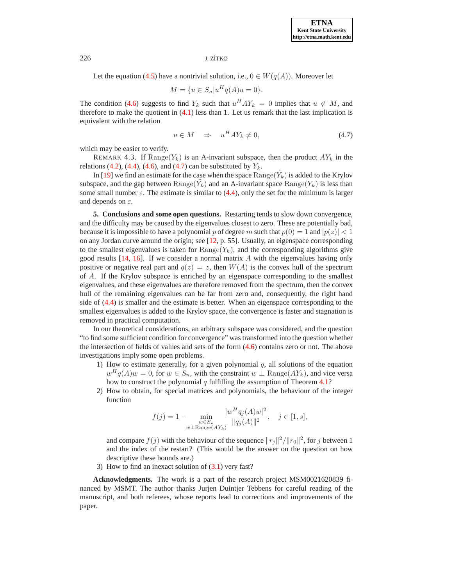### 226 J. ZÍTKO

Let the equation [\(4.5\)](#page-4-2) have a nontrivial solution, i.e.,  $0 \in W(q(A))$ . Moreover let

$$
M = \{ u \in S_n | u^H q(A)u = 0 \}.
$$

The condition [\(4.6\)](#page-4-2) suggests to find  $Y_k$  such that  $u^H A Y_k = 0$  implies that  $u \notin M$ , and therefore to make the quotient in  $(4.1)$  less than 1. Let us remark that the last implication is equivalent with the relation

$$
u \in M \quad \Rightarrow \quad u^H A Y_k \neq 0,\tag{4.7}
$$

<span id="page-5-0"></span>which may be easier to verify.

REMARK 4.3. If  $\text{Range}(Y_k)$  is an A-invariant subspace, then the product  $AY_k$  in the relations [\(4.2\)](#page-4-3), [\(4.4\)](#page-4-1), [\(4.6\)](#page-4-2), and [\(4.7\)](#page-5-0) can be substituted by  $Y_k$ .

In [\[19\]](#page-6-18) we find an estimate for the case when the space  $\text{Range}(\tilde{Y}_k)$  is added to the Krylov subspace, and the gap between  $\text{Range}(\tilde{Y}_k)$  and an A-invariant space  $\text{Range}(Y_k)$  is less than some small number  $\varepsilon$ . The estimate is similar to [\(4.4\)](#page-4-1), only the set for the minimum is larger and depends on  $\varepsilon$ .

**5. Conclusions and some open questions.** Restarting tends to slow down convergence, and the difficulty may be caused by the eigenvalues closest to zero. These are potentially bad, because it is impossible to have a polynomial p of degree m such that  $p(0) = 1$  and  $|p(z)| < 1$ on any Jordan curve around the origin; see [\[12,](#page-6-11) p. 55]. Usually, an eigenspace corresponding to the smallest eigenvalues is taken for  $\text{Range}(Y_k)$ , and the corresponding algorithms give good results  $[14, 16]$  $[14, 16]$ . If we consider a normal matrix A with the eigenvalues having only positive or negative real part and  $q(z) = z$ , then  $W(A)$  is the convex hull of the spectrum of A. If the Krylov subspace is enriched by an eigenspace corresponding to the smallest eigenvalues, and these eigenvalues are therefore removed from the spectrum, then the convex hull of the remaining eigenvalues can be far from zero and, consequently, the right hand side of [\(4.4\)](#page-4-1) is smaller and the estimate is better. When an eigenspace corresponding to the smallest eigenvalues is added to the Krylov space, the convergence is faster and stagnation is removed in practical computation.

In our theoretical considerations, an arbitrary subspace was considered, and the question "to find some sufficient condition for convergence" was transformed into the question whether the intersection of fields of values and sets of the form [\(4.6\)](#page-4-2) contains zero or not. The above investigations imply some open problems.

- 1) How to estimate generally, for a given polynomial  $q$ , all solutions of the equation  $w^H q(A)w = 0$ , for  $w \in S_n$ , with the constraint  $w \perp \text{Range}(AY_k)$ , and vice versa how to construct the polynomial  $q$  fulfilling the assumption of Theorem [4.1?](#page-4-4)
- 2) How to obtain, for special matrices and polynomials, the behaviour of the integer function

$$
f(j) = 1 - \min_{\substack{w \in S_n \\ w \perp \text{Range}(AY_k)}} \frac{|w^H q_j(A)w|^2}{\|q_j(A)\|^2}, \quad j \in [1, s],
$$

and compare  $f(j)$  with the behaviour of the sequence  $||r_j||^2/||r_0||^2$ , for j between 1 and the index of the restart? (This would be the answer on the question on how descriptive these bounds are.)

3) How to find an inexact solution of  $(3.1)$  very fast?

**Acknowledgments.** The work is a part of the research project MSM0021620839 financed by MSMT. The author thanks Jurjen Duintjer Tebbens for careful reading of the manuscript, and both referees, whose reports lead to corrections and improvements of the paper.